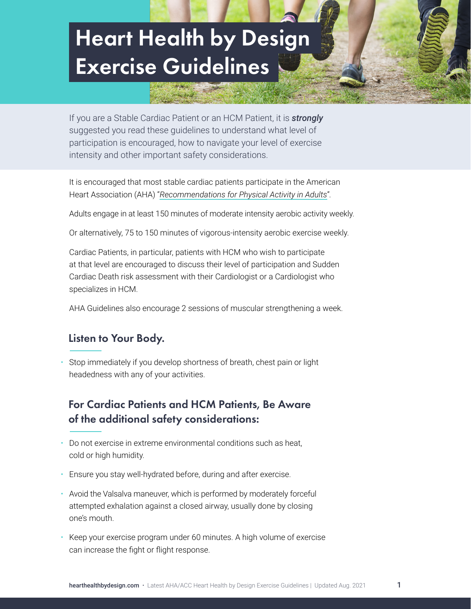# Heart Health by Design Exercise Guidelines continued Heart Health by Design Exercise Guidelines

If you are a Stable Cardiac Patient or an HCM Patient, it is *strongly* suggested you read these guidelines to understand what level of participation is encouraged, how to navigate your level of exercise intensity and other important safety considerations.

It is encouraged that most stable cardiac patients participate in the American Heart Association (AHA) "*[Recommendations for Physical Activity in Adults](https://www.heart.org/en/healthy-living/fitness/fitness-basics/aha-recs-for-physical-activity-in-adults)*".

Adults engage in at least 150 minutes of moderate intensity aerobic activity weekly.

Or alternatively, 75 to 150 minutes of vigorous-intensity aerobic exercise weekly.

Cardiac Patients, in particular, patients with HCM who wish to participate at that level are encouraged to discuss their level of participation and Sudden Cardiac Death risk assessment with their Cardiologist or a Cardiologist who specializes in HCM.

AHA Guidelines also encourage 2 sessions of muscular strengthening a week.

### Listen to Your Body.

• Stop immediately if you develop shortness of breath, chest pain or light headedness with any of your activities.

# For Cardiac Patients and HCM Patients, Be Aware of the additional safety considerations:

- Do not exercise in extreme environmental conditions such as heat, cold or high humidity.
- Ensure you stay well-hydrated before, during and after exercise.
- Avoid the Valsalva maneuver, which is performed by moderately forceful attempted exhalation against a closed airway, usually done by closing one's mouth.
- Keep your exercise program under 60 minutes. A high volume of exercise can increase the fight or flight response.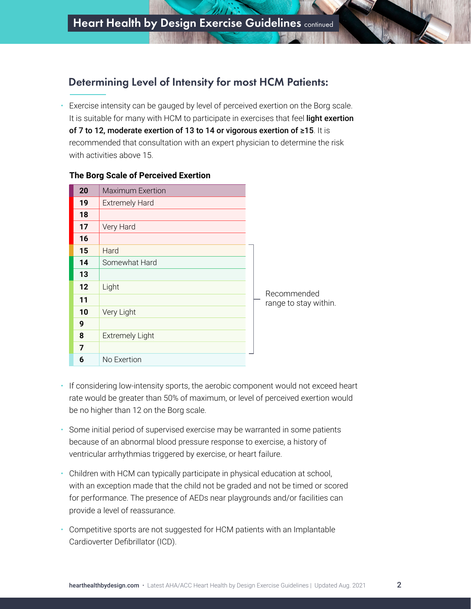## Determining Level of Intensity for most HCM Patients:

• Exercise intensity can be gauged by level of perceived exertion on the Borg scale. It is suitable for many with HCM to participate in exercises that feel light exertion of 7 to 12, moderate exertion of 13 to 14 or vigorous exertion of ≥15. It is recommended that consultation with an expert physician to determine the risk with activities above 15.

| 20 | <b>Maximum Exertion</b> |                       |
|----|-------------------------|-----------------------|
| 19 | <b>Extremely Hard</b>   |                       |
| 18 |                         |                       |
| 17 | Very Hard               |                       |
| 16 |                         |                       |
| 15 | Hard                    |                       |
| 14 | Somewhat Hard           |                       |
| 13 |                         |                       |
| 12 | Light                   | Recommended           |
| 11 |                         | range to stay within. |
| 10 | Very Light              |                       |
| 9  |                         |                       |
| 8  | <b>Extremely Light</b>  |                       |
| 7  |                         |                       |
| 6  | No Exertion             |                       |

#### **The Borg Scale of Perceived Exertion**

- If considering low-intensity sports, the aerobic component would not exceed heart rate would be greater than 50% of maximum, or level of perceived exertion would be no higher than 12 on the Borg scale.
- Some initial period of supervised exercise may be warranted in some patients because of an abnormal blood pressure response to exercise, a history of ventricular arrhythmias triggered by exercise, or heart failure.
- Children with HCM can typically participate in physical education at school, with an exception made that the child not be graded and not be timed or scored for performance. The presence of AEDs near playgrounds and/or facilities can provide a level of reassurance.
- Competitive sports are not suggested for HCM patients with an Implantable Cardioverter Defibrillator (ICD).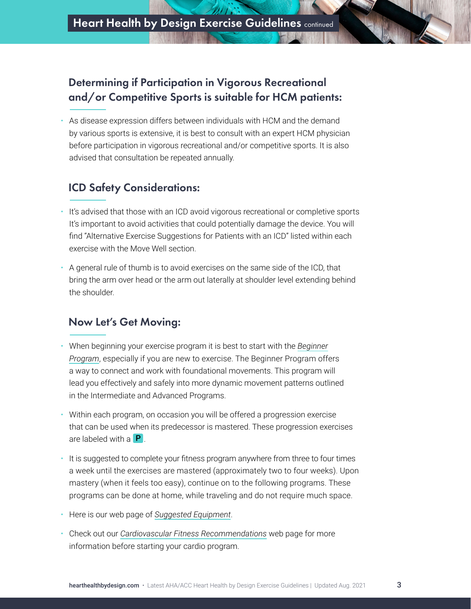# Determining if Participation in Vigorous Recreational and/or Competitive Sports is suitable for HCM patients:

• As disease expression differs between individuals with HCM and the demand by various sports is extensive, it is best to consult with an expert HCM physician before participation in vigorous recreational and/or competitive sports. It is also advised that consultation be repeated annually.

# ICD Safety Considerations:

- It's advised that those with an ICD avoid vigorous recreational or completive sports It's important to avoid activities that could potentially damage the device. You will find "Alternative Exercise Suggestions for Patients with an ICD" listed within each exercise with the Move Well section.
- A general rule of thumb is to avoid exercises on the same side of the ICD, that bring the arm over head or the arm out laterally at shoulder level extending behind the shoulder.

# Now Let's Get Moving:

- When beginning your exercise program it is best to start with the *[Beginner](https://hearthealthbydesign.com/program/beginner-program/) [Program](https://hearthealthbydesign.com/program/beginner-program/)*, especially if you are new to exercise. The Beginner Program offers a way to connect and work with foundational movements. This program will lead you effectively and safely into more dynamic movement patterns outlined in the Intermediate and Advanced Programs.
- Within each program, on occasion you will be offered a progression exercise that can be used when its predecessor is mastered. These progression exercises are labeled with a  $\mathsf{P}$ .
- It is suggested to complete your fitness program anywhere from three to four times a week until the exercises are mastered (approximately two to four weeks). Upon mastery (when it feels too easy), continue on to the following programs. These programs can be done at home, while traveling and do not require much space.
- Here is our web page of *[Suggested Equipment](https://hearthealthbydesign.com/resources/suggested-equipment/)*.
- Check out our *[Cardiovascular Fitness Recommendations](https://hearthealthbydesign.com/cardiovascular-fitness-recommendations/)* web page for more information before starting your cardio program.